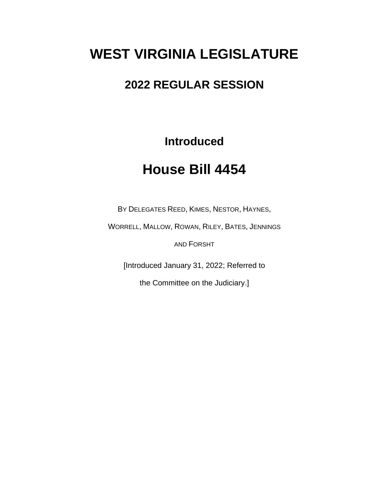# **WEST VIRGINIA LEGISLATURE**

### **2022 REGULAR SESSION**

**Introduced**

## **House Bill 4454**

BY DELEGATES REED, KIMES, NESTOR, HAYNES,

WORRELL, MALLOW, ROWAN, RILEY, BATES, JENNINGS

AND FORSHT

[Introduced January 31, 2022; Referred to

the Committee on the Judiciary.]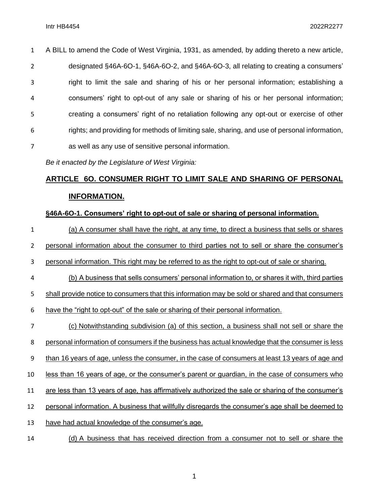| $\mathbf{1}$   | A BILL to amend the Code of West Virginia, 1931, as amended, by adding thereto a new article, |
|----------------|-----------------------------------------------------------------------------------------------|
| $\overline{2}$ | designated §46A-6O-1, §46A-6O-2, and §46A-6O-3, all relating to creating a consumers'         |
| 3              | right to limit the sale and sharing of his or her personal information; establishing a        |
| 4              | consumers' right to opt-out of any sale or sharing of his or her personal information;        |
| 5              | creating a consumers' right of no retaliation following any opt-out or exercise of other      |
| 6              | rights; and providing for methods of limiting sale, sharing, and use of personal information, |
| $\overline{7}$ | as well as any use of sensitive personal information.                                         |

*Be it enacted by the Legislature of West Virginia:*

### **ARTICLE 6O. CONSUMER RIGHT TO LIMIT SALE AND SHARING OF PERSONAL INFORMATION.**

#### **§46A-6O-1. Consumers' right to opt-out of sale or sharing of personal information.**

 (a) A consumer shall have the right, at any time, to direct a business that sells or shares personal information about the consumer to third parties not to sell or share the consumer's personal information. This right may be referred to as the right to opt-out of sale or sharing. (b) A business that sells consumers' personal information to, or shares it with, third parties shall provide notice to consumers that this information may be sold or shared and that consumers have the "right to opt-out" of the sale or sharing of their personal information. (c) Notwithstanding subdivision (a) of this section, a business shall not sell or share the personal information of consumers if the business has actual knowledge that the consumer is less than 16 years of age, unless the consumer, in the case of consumers at least 13 years of age and less than 16 years of age, or the consumer's parent or guardian, in the case of consumers who are less than 13 years of age, has affirmatively authorized the sale or sharing of the consumer's personal information. A business that willfully disregards the consumer's age shall be deemed to have had actual knowledge of the consumer's age.

(d) A business that has received direction from a consumer not to sell or share the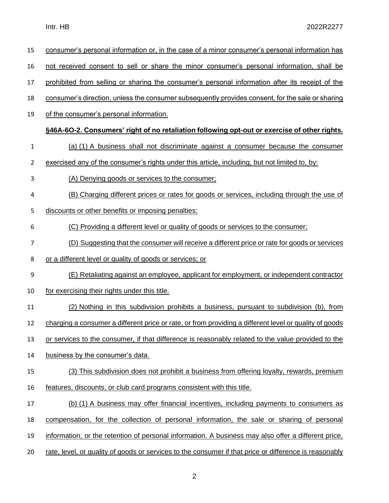| 15           | consumer's personal information or, in the case of a minor consumer's personal information has         |
|--------------|--------------------------------------------------------------------------------------------------------|
| 16           | not received consent to sell or share the minor consumer's personal information, shall be              |
| 17           | prohibited from selling or sharing the consumer's personal information after its receipt of the        |
| 18           | consumer's direction, unless the consumer subsequently provides consent, for the sale or sharing       |
| 19           | of the consumer's personal information.                                                                |
|              | §46A-6O-2. Consumers' right of no retaliation following opt-out or exercise of other rights.           |
| $\mathbf{1}$ | (a) (1) A business shall not discriminate against a consumer because the consumer                      |
| 2            | exercised any of the consumer's rights under this article, including, but not limited to, by:          |
| 3            | (A) Denying goods or services to the consumer;                                                         |
| 4            | (B) Charging different prices or rates for goods or services, including through the use of             |
| 5            | discounts or other benefits or imposing penalties:                                                     |
| 6            | (C) Providing a different level or quality of goods or services to the consumer;                       |
| 7            | (D) Suggesting that the consumer will receive a different price or rate for goods or services          |
| 8            | or a different level or quality of goods or services; or                                               |
| 9            | (E) Retaliating against an employee, applicant for employment, or independent contractor               |
| 10           | for exercising their rights under this title.                                                          |
| 11           | (2) Nothing in this subdivision prohibits a business, pursuant to subdivision (b), from                |
| 12           | charging a consumer a different price or rate, or from providing a different level or quality of goods |
| 13           | or services to the consumer, if that difference is reasonably related to the value provided to the     |
| 14           | business by the consumer's data.                                                                       |
| 15           | (3) This subdivision does not prohibit a business from offering loyalty, rewards, premium              |
| 16           | features, discounts, or club card programs consistent with this title.                                 |
| 17           | (b) (1) A business may offer financial incentives, including payments to consumers as                  |
| 18           | compensation, for the collection of personal information, the sale or sharing of personal              |
| 19           | information, or the retention of personal information. A business may also offer a different price,    |
|              |                                                                                                        |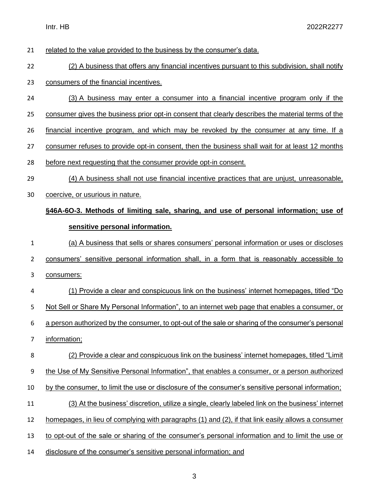- related to the value provided to the business by the consumer's data.
- 22 (2) A business that offers any financial incentives pursuant to this subdivision, shall notify
- consumers of the financial incentives.
- (3) A business may enter a consumer into a financial incentive program only if the
- 25 consumer gives the business prior opt-in consent that clearly describes the material terms of the
- financial incentive program, and which may be revoked by the consumer at any time. If a
- consumer refuses to provide opt-in consent, then the business shall wait for at least 12 months
- before next requesting that the consumer provide opt-in consent.
- (4) A business shall not use financial incentive practices that are unjust, unreasonable,
- coercive, or usurious in nature.

#### **§46A-6O-3. Methods of limiting sale, sharing, and use of personal information; use of sensitive personal information.**

 (a) A business that sells or shares consumers' personal information or uses or discloses consumers' sensitive personal information shall, in a form that is reasonably accessible to consumers:

 (1) Provide a clear and conspicuous link on the business' internet homepages, titled "Do 5 Not Sell or Share My Personal Information", to an internet web page that enables a consumer, or a person authorized by the consumer, to opt-out of the sale or sharing of the consumer's personal information;

 (2) Provide a clear and conspicuous link on the business' internet homepages, titled "Limit the Use of My Sensitive Personal Information", that enables a consumer, or a person authorized 10 by the consumer, to limit the use or disclosure of the consumer's sensitive personal information; (3) At the business' discretion, utilize a single, clearly labeled link on the business' internet homepages, in lieu of complying with paragraphs (1) and (2), if that link easily allows a consumer to opt-out of the sale or sharing of the consumer's personal information and to limit the use or

disclosure of the consumer's sensitive personal information; and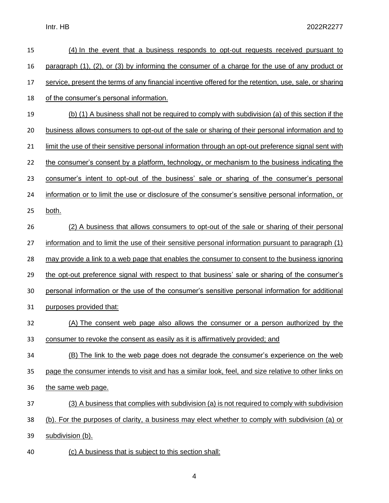| 15 | (4) In the event that a business responds to opt-out requests received pursuant to                     |
|----|--------------------------------------------------------------------------------------------------------|
| 16 | paragraph (1), (2), or (3) by informing the consumer of a charge for the use of any product or         |
| 17 | service, present the terms of any financial incentive offered for the retention, use, sale, or sharing |
| 18 | of the consumer's personal information.                                                                |
| 19 | (b) (1) A business shall not be required to comply with subdivision (a) of this section if the         |
| 20 | business allows consumers to opt-out of the sale or sharing of their personal information and to       |
| 21 | limit the use of their sensitive personal information through an opt-out preference signal sent with   |
| 22 | the consumer's consent by a platform, technology, or mechanism to the business indicating the          |
| 23 | consumer's intent to opt-out of the business' sale or sharing of the consumer's personal               |
| 24 | information or to limit the use or disclosure of the consumer's sensitive personal information, or     |
| 25 | both.                                                                                                  |
| 26 | (2) A business that allows consumers to opt-out of the sale or sharing of their personal               |
| 27 | information and to limit the use of their sensitive personal information pursuant to paragraph (1)     |
| 28 | may provide a link to a web page that enables the consumer to consent to the business ignoring         |
| 29 | the opt-out preference signal with respect to that business' sale or sharing of the consumer's         |
| 30 | personal information or the use of the consumer's sensitive personal information for additional        |
| 31 | purposes provided that:                                                                                |
| 32 | (A) The consent web page also allows the consumer or a person authorized by the                        |
| 33 | consumer to revoke the consent as easily as it is affirmatively provided; and                          |
| 34 | (B) The link to the web page does not degrade the consumer's experience on the web                     |
| 35 | page the consumer intends to visit and has a similar look, feel, and size relative to other links on   |
| 36 | the same web page.                                                                                     |
| 37 | (3) A business that complies with subdivision (a) is not required to comply with subdivision           |
| 38 | (b). For the purposes of clarity, a business may elect whether to comply with subdivision (a) or       |
| 39 | subdivision (b).                                                                                       |
| 40 | (c) A business that is subject to this section shall:                                                  |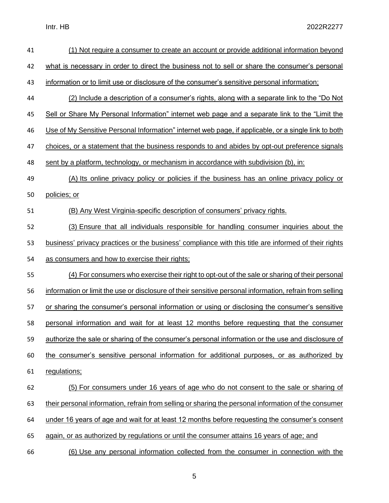| 41 | (1) Not require a consumer to create an account or provide additional information beyond                 |
|----|----------------------------------------------------------------------------------------------------------|
| 42 | what is necessary in order to direct the business not to sell or share the consumer's personal           |
| 43 | information or to limit use or disclosure of the consumer's sensitive personal information;              |
| 44 | (2) Include a description of a consumer's rights, along with a separate link to the "Do Not"             |
| 45 | Sell or Share My Personal Information" internet web page and a separate link to the "Limit the           |
| 46 | Use of My Sensitive Personal Information" internet web page, if applicable, or a single link to both     |
| 47 | choices, or a statement that the business responds to and abides by opt-out preference signals           |
| 48 | sent by a platform, technology, or mechanism in accordance with subdivision (b), in:                     |
| 49 | (A) Its online privacy policy or policies if the business has an online privacy policy or                |
| 50 | policies; or                                                                                             |
| 51 | (B) Any West Virginia-specific description of consumers' privacy rights.                                 |
| 52 | (3) Ensure that all individuals responsible for handling consumer inquiries about the                    |
| 53 | business' privacy practices or the business' compliance with this title are informed of their rights     |
| 54 | as consumers and how to exercise their rights;                                                           |
| 55 | (4) For consumers who exercise their right to opt-out of the sale or sharing of their personal           |
| 56 | information or limit the use or disclosure of their sensitive personal information, refrain from selling |
| 57 | or sharing the consumer's personal information or using or disclosing the consumer's sensitive           |
| 58 | personal information and wait for at least 12 months before requesting that the consumer                 |
| 59 | authorize the sale or sharing of the consumer's personal information or the use and disclosure of        |
| 60 | the consumer's sensitive personal information for additional purposes, or as authorized by               |
| 61 | regulations;                                                                                             |
| 62 | (5) For consumers under 16 years of age who do not consent to the sale or sharing of                     |
| 63 | their personal information, refrain from selling or sharing the personal information of the consumer     |
| 64 | under 16 years of age and wait for at least 12 months before requesting the consumer's consent           |
| 65 | again, or as authorized by regulations or until the consumer attains 16 years of age; and                |
| 66 | (6) Use any personal information collected from the consumer in connection with the                      |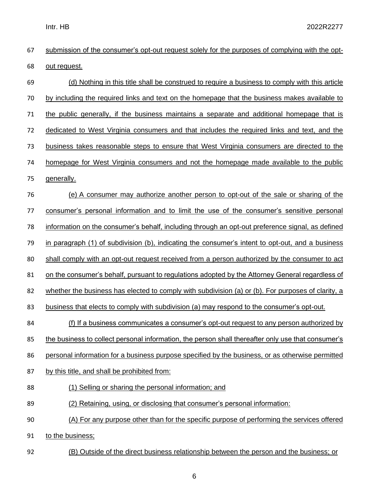| 67 | submission of the consumer's opt-out request solely for the purposes of complying with the opt-    |
|----|----------------------------------------------------------------------------------------------------|
| 68 | out request.                                                                                       |
| 69 | (d) Nothing in this title shall be construed to require a business to comply with this article     |
| 70 | by including the required links and text on the homepage that the business makes available to      |
| 71 | the public generally, if the business maintains a separate and additional homepage that is         |
| 72 | dedicated to West Virginia consumers and that includes the required links and text, and the        |
| 73 | business takes reasonable steps to ensure that West Virginia consumers are directed to the         |
| 74 | homepage for West Virginia consumers and not the homepage made available to the public             |
| 75 | generally.                                                                                         |
| 76 | (e) A consumer may authorize another person to opt-out of the sale or sharing of the               |
| 77 | consumer's personal information and to limit the use of the consumer's sensitive personal          |
| 78 | information on the consumer's behalf, including through an opt-out preference signal, as defined   |
| 79 | in paragraph (1) of subdivision (b), indicating the consumer's intent to opt-out, and a business   |
| 80 | shall comply with an opt-out request received from a person authorized by the consumer to act      |
| 81 | on the consumer's behalf, pursuant to regulations adopted by the Attorney General regardless of    |
| 82 | whether the business has elected to comply with subdivision (a) or (b). For purposes of clarity, a |
| 83 | business that elects to comply with subdivision (a) may respond to the consumer's opt-out.         |
| 84 | (f) If a business communicates a consumer's opt-out request to any person authorized by            |
| 85 | the business to collect personal information, the person shall thereafter only use that consumer's |
| 86 | personal information for a business purpose specified by the business, or as otherwise permitted   |
| 87 | by this title, and shall be prohibited from:                                                       |
| 88 | (1) Selling or sharing the personal information; and                                               |
| 89 | (2) Retaining, using, or disclosing that consumer's personal information:                          |
| 90 | (A) For any purpose other than for the specific purpose of performing the services offered         |
| 91 | to the business;                                                                                   |
| 92 | (B) Outside of the direct business relationship between the person and the business; or            |

6